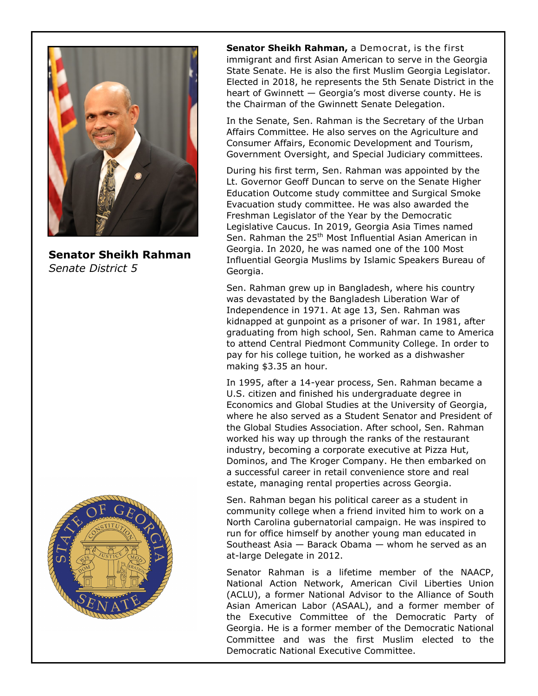

**Senator Sheikh Rahman**  *Senate District 5*



**Senator Sheikh Rahman,** a Democrat, is the first immigrant and first Asian American to serve in the Georgia State Senate. He is also the first Muslim Georgia Legislator. Elected in 2018, he represents the 5th Senate District in the heart of Gwinnett — Georgia's most diverse county. He is the Chairman of the Gwinnett Senate Delegation.

In the Senate, Sen. Rahman is the Secretary of the Urban Affairs Committee. He also serves on the Agriculture and Consumer Affairs, Economic Development and Tourism, Government Oversight, and Special Judiciary committees.

During his first term, Sen. Rahman was appointed by the Lt. Governor Geoff Duncan to serve on the Senate Higher Education Outcome study committee and Surgical Smoke Evacuation study committee. He was also awarded the Freshman Legislator of the Year by the Democratic Legislative Caucus. In 2019, Georgia Asia Times named Sen. Rahman the 25<sup>th</sup> Most Influential Asian American in Georgia. In 2020, he was named one of the 100 Most Influential Georgia Muslims by Islamic Speakers Bureau of Georgia.

Sen. Rahman grew up in Bangladesh, where his country was devastated by the Bangladesh Liberation War of Independence in 1971. At age 13, Sen. Rahman was kidnapped at gunpoint as a prisoner of war. In 1981, after graduating from high school, Sen. Rahman came to America to attend Central Piedmont Community College. In order to pay for his college tuition, he worked as a dishwasher making \$3.35 an hour.

In 1995, after a 14-year process, Sen. Rahman became a U.S. citizen and finished his undergraduate degree in Economics and Global Studies at the University of Georgia, where he also served as a Student Senator and President of the Global Studies Association. After school, Sen. Rahman worked his way up through the ranks of the restaurant industry, becoming a corporate executive at Pizza Hut, Dominos, and The Kroger Company. He then embarked on a successful career in retail convenience store and real estate, managing rental properties across Georgia.

Sen. Rahman began his political career as a student in community college when a friend invited him to work on a North Carolina gubernatorial campaign. He was inspired to run for office himself by another young man educated in Southeast Asia — Barack Obama — whom he served as an at-large Delegate in 2012.

Senator Rahman is a lifetime member of the NAACP, National Action Network, American Civil Liberties Union (ACLU), a former National Advisor to the Alliance of South Asian American Labor (ASAAL), and a former member of the Executive Committee of the Democratic Party of Georgia. He is a former member of the Democratic National Committee and was the first Muslim elected to the Democratic National Executive Committee.